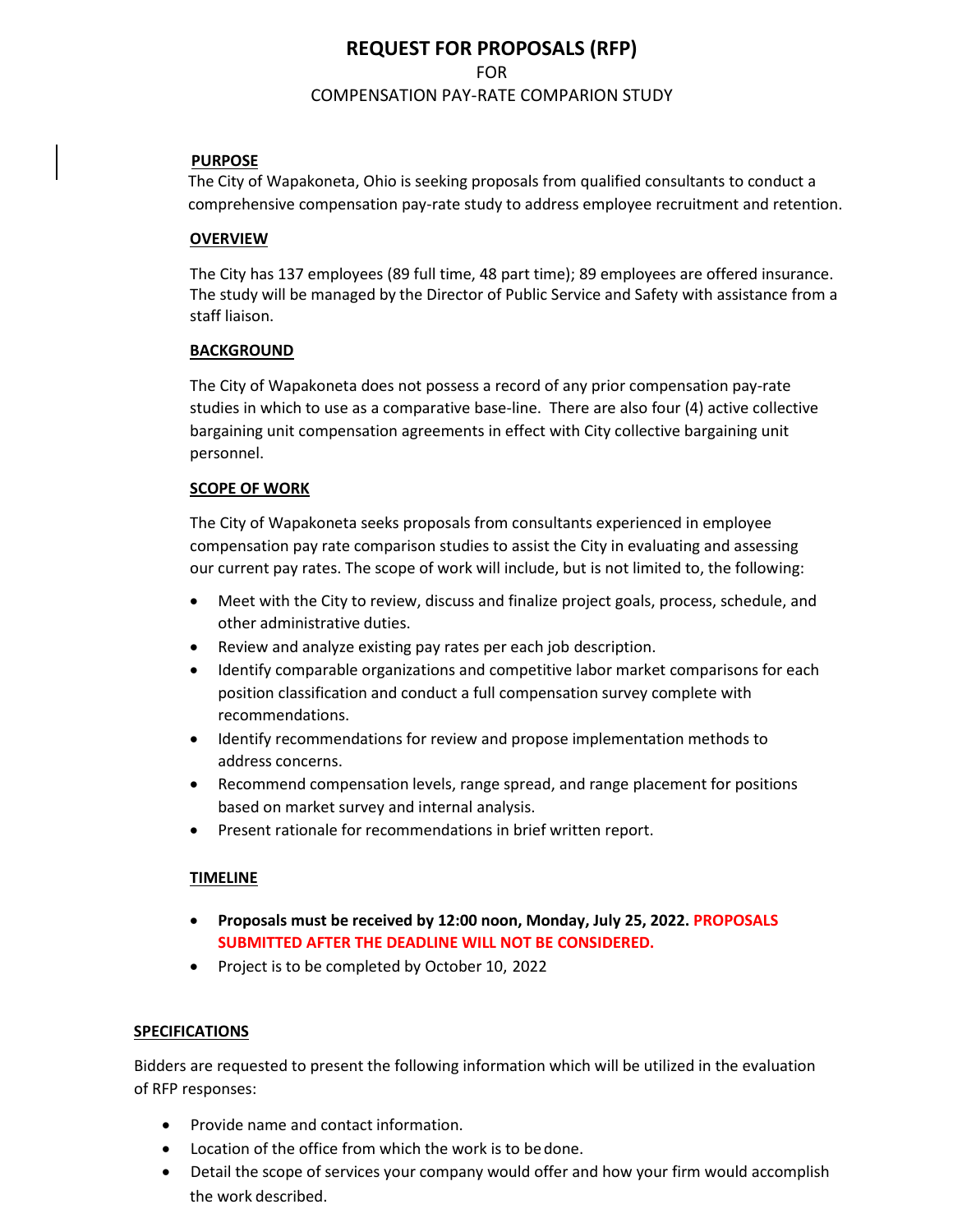# **REQUEST FOR PROPOSALS (RFP)**  FOR COMPENSATION PAY-RATE COMPARION STUDY

## **PURPOSE**

 The City of Wapakoneta, Ohio is seeking proposals from qualified consultants to conduct a comprehensive compensation pay-rate study to address employee recruitment and retention.

#### **OVERVIEW**

The City has 137 employees (89 full time, 48 part time); 89 employees are offered insurance. The study will be managed by the Director of Public Service and Safety with assistance from a staff liaison.

#### **BACKGROUND**

The City of Wapakoneta does not possess a record of any prior compensation pay-rate studies in which to use as a comparative base-line. There are also four (4) active collective bargaining unit compensation agreements in effect with City collective bargaining unit personnel.

#### **SCOPE OF WORK**

The City of Wapakoneta seeks proposals from consultants experienced in employee compensation pay rate comparison studies to assist the City in evaluating and assessing our current pay rates. The scope of work will include, but is not limited to, the following:

- Meet with the City to review, discuss and finalize project goals, process, schedule, and other administrative duties.
- Review and analyze existing pay rates per each job description.
- Identify comparable organizations and competitive labor market comparisons for each position classification and conduct a full compensation survey complete with recommendations.
- Identify recommendations for review and propose implementation methods to address concerns.
- Recommend compensation levels, range spread, and range placement for positions based on market survey and internal analysis.
- Present rationale for recommendations in brief written report.

## **TIMELINE**

- **Proposals must be received by 12:00 noon, Monday, July 25, 2022. PROPOSALS SUBMITTED AFTER THE DEADLINE WILL NOT BE CONSIDERED.**
- Project is to be completed by October 10, 2022

## **SPECIFICATIONS**

Bidders are requested to present the following information which will be utilized in the evaluation of RFP responses:

- Provide name and contact information.
- Location of the office from which the work is to be done.
- Detail the scope of services your company would offer and how your firm would accomplish the work described.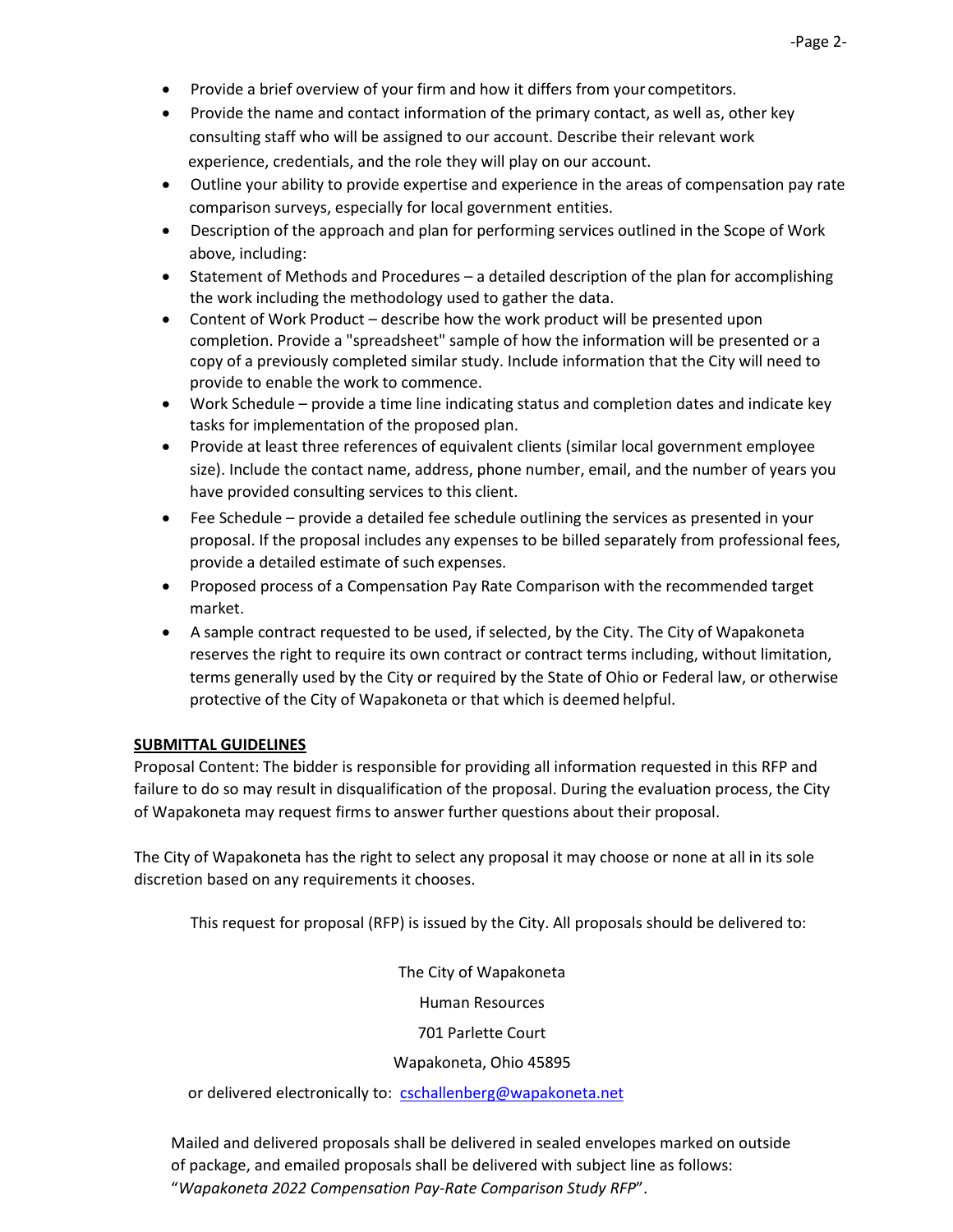- Provide a brief overview of your firm and how it differs from your competitors.
- Provide the name and contact information of the primary contact, as well as, other key consulting staff who will be assigned to our account. Describe their relevant work experience, credentials, and the role they will play on our account.
- Outline your ability to provide expertise and experience in the areas of compensation pay rate comparison surveys, especially for local government entities.
- Description of the approach and plan for performing services outlined in the Scope of Work above, including:
- Statement of Methods and Procedures a detailed description of the plan for accomplishing the work including the methodology used to gather the data.
- Content of Work Product describe how the work product will be presented upon completion. Provide a "spreadsheet" sample of how the information will be presented or a copy of a previously completed similar study. Include information that the City will need to provide to enable the work to commence.
- Work Schedule provide a time line indicating status and completion dates and indicate key tasks for implementation of the proposed plan.
- Provide at least three references of equivalent clients (similar local government employee size). Include the contact name, address, phone number, email, and the number of years you have provided consulting services to this client.
- Fee Schedule provide a detailed fee schedule outlining the services as presented in your proposal. If the proposal includes any expenses to be billed separately from professional fees, provide a detailed estimate of such expenses.
- Proposed process of a Compensation Pay Rate Comparison with the recommended target market.
- A sample contract requested to be used, if selected, by the City. The City of Wapakoneta reserves the right to require its own contract or contract terms including, without limitation, terms generally used by the City or required by the State of Ohio or Federal law, or otherwise protective of the City of Wapakoneta or that which is deemed helpful.

## **SUBMITTAL GUIDELINES**

Proposal Content: The bidder is responsible for providing all information requested in this RFP and failure to do so may result in disqualification of the proposal. During the evaluation process, the City of Wapakoneta may request firms to answer further questions about their proposal.

The City of Wapakoneta has the right to select any proposal it may choose or none at all in its sole discretion based on any requirements it chooses.

This request for proposal (RFP) is issued by the City. All proposals should be delivered to:

The City of Wapakoneta Human Resources 701 Parlette Court Wapakoneta, Ohio 45895

or delivered electronically to: [cschallenberg@wapakoneta.net](mailto:cschallenberg@wapakoneta.net)

Mailed and delivered proposals shall be delivered in sealed envelopes marked on outside of package, and emailed proposals shall be delivered with subject line as follows: "*Wapakoneta 2022 Compensation Pay-Rate Comparison Study RFP*".